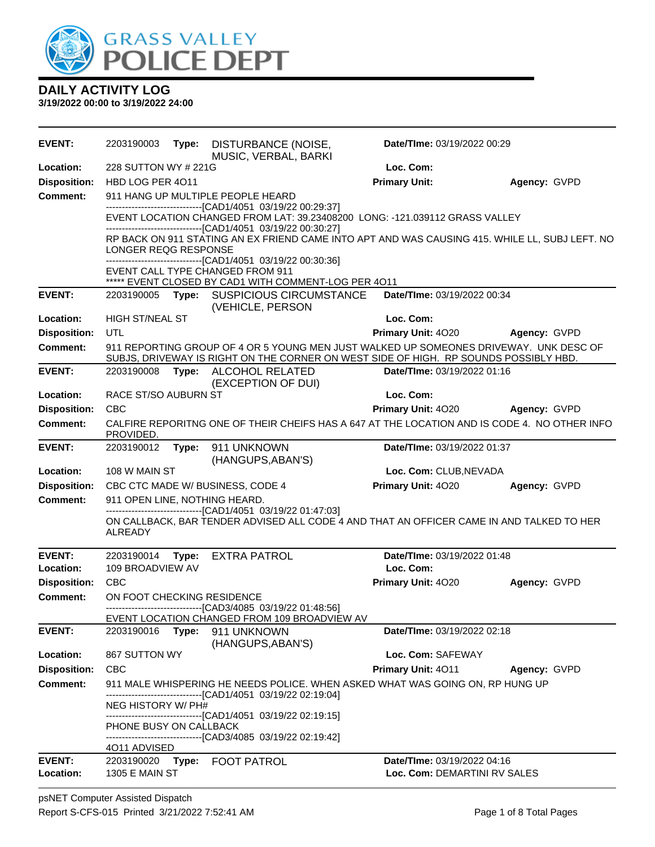

| <b>EVENT:</b>              | 2203190003                    |       | Type: DISTURBANCE (NOISE,<br>MUSIC, VERBAL, BARKI                                                                                                                                                                                                                                                                                                                                                                 | Date/TIme: 03/19/2022 00:29                                 |                     |
|----------------------------|-------------------------------|-------|-------------------------------------------------------------------------------------------------------------------------------------------------------------------------------------------------------------------------------------------------------------------------------------------------------------------------------------------------------------------------------------------------------------------|-------------------------------------------------------------|---------------------|
| Location:                  | 228 SUTTON WY # 221G          |       |                                                                                                                                                                                                                                                                                                                                                                                                                   | Loc. Com:                                                   |                     |
| <b>Disposition:</b>        | HBD LOG PER 4011              |       |                                                                                                                                                                                                                                                                                                                                                                                                                   | <b>Primary Unit:</b>                                        | Agency: GVPD        |
| <b>Comment:</b>            | LONGER REQG RESPONSE          |       | 911 HANG UP MULTIPLE PEOPLE HEARD<br>-------------------------------[CAD1/4051 03/19/22 00:29:37]<br>EVENT LOCATION CHANGED FROM LAT: 39.23408200 LONG: -121.039112 GRASS VALLEY<br>------------------------------[CAD1/4051 03/19/22 00:30:27]<br>RP BACK ON 911 STATING AN EX FRIEND CAME INTO APT AND WAS CAUSING 415. WHILE LL, SUBJ LEFT. NO<br>-------------------------------[CAD1/4051 03/19/22 00:30:36] |                                                             |                     |
|                            |                               |       | EVENT CALL TYPE CHANGED FROM 911                                                                                                                                                                                                                                                                                                                                                                                  |                                                             |                     |
|                            |                               |       | ***** EVENT CLOSED BY CAD1 WITH COMMENT-LOG PER 4011                                                                                                                                                                                                                                                                                                                                                              |                                                             |                     |
| <b>EVENT:</b>              |                               |       | 2203190005 Type: SUSPICIOUS CIRCUMSTANCE<br>(VEHICLE, PERSON                                                                                                                                                                                                                                                                                                                                                      | Date/TIme: 03/19/2022 00:34                                 |                     |
| Location:                  | HIGH ST/NEAL ST               |       |                                                                                                                                                                                                                                                                                                                                                                                                                   | Loc. Com:                                                   |                     |
| <b>Disposition:</b>        | UTL                           |       |                                                                                                                                                                                                                                                                                                                                                                                                                   | Primary Unit: 4020                                          | Agency: GVPD        |
| <b>Comment:</b>            |                               |       | 911 REPORTING GROUP OF 4 OR 5 YOUNG MEN JUST WALKED UP SOMEONES DRIVEWAY. UNK DESC OF<br>SUBJS, DRIVEWAY IS RIGHT ON THE CORNER ON WEST SIDE OF HIGH. RP SOUNDS POSSIBLY HBD.                                                                                                                                                                                                                                     |                                                             |                     |
| <b>EVENT:</b>              |                               |       | 2203190008 Type: ALCOHOL RELATED<br>(EXCEPTION OF DUI)                                                                                                                                                                                                                                                                                                                                                            | Date/TIme: 03/19/2022 01:16                                 |                     |
| Location:                  | RACE ST/SO AUBURN ST          |       |                                                                                                                                                                                                                                                                                                                                                                                                                   | Loc. Com:                                                   |                     |
| <b>Disposition:</b>        | <b>CBC</b>                    |       |                                                                                                                                                                                                                                                                                                                                                                                                                   | Primary Unit: 4020                                          | <b>Agency: GVPD</b> |
| <b>Comment:</b>            | PROVIDED.                     |       | CALFIRE REPORITNG ONE OF THEIR CHEIFS HAS A 647 AT THE LOCATION AND IS CODE 4. NO OTHER INFO                                                                                                                                                                                                                                                                                                                      |                                                             |                     |
| <b>EVENT:</b>              |                               |       | 2203190012 Type: 911 UNKNOWN<br>(HANGUPS, ABAN'S)                                                                                                                                                                                                                                                                                                                                                                 | Date/TIme: 03/19/2022 01:37                                 |                     |
| Location:                  | 108 W MAIN ST                 |       |                                                                                                                                                                                                                                                                                                                                                                                                                   | Loc. Com: CLUB, NEVADA                                      |                     |
| <b>Disposition:</b>        |                               |       | CBC CTC MADE W/ BUSINESS, CODE 4                                                                                                                                                                                                                                                                                                                                                                                  | Primary Unit: 4020                                          | Agency: GVPD        |
| <b>Comment:</b>            | 911 OPEN LINE, NOTHING HEARD. |       |                                                                                                                                                                                                                                                                                                                                                                                                                   |                                                             |                     |
|                            | <b>ALREADY</b>                |       | -------------------------------[CAD1/4051 03/19/22 01:47:03]<br>ON CALLBACK, BAR TENDER ADVISED ALL CODE 4 AND THAT AN OFFICER CAME IN AND TALKED TO HER                                                                                                                                                                                                                                                          |                                                             |                     |
| <b>EVENT:</b>              | 2203190014 Type:              |       | <b>EXTRA PATROL</b>                                                                                                                                                                                                                                                                                                                                                                                               | Date/TIme: 03/19/2022 01:48                                 |                     |
| Location:                  | 109 BROADVIEW AV              |       |                                                                                                                                                                                                                                                                                                                                                                                                                   | Loc. Com:                                                   |                     |
| <b>Disposition:</b>        | <b>CBC</b>                    |       |                                                                                                                                                                                                                                                                                                                                                                                                                   | Primary Unit: 4020                                          | Agency: GVPD        |
| Comment:                   | ON FOOT CHECKING RESIDENCE    |       | ------------------------------[CAD3/4085 03/19/22 01:48:56]                                                                                                                                                                                                                                                                                                                                                       |                                                             |                     |
|                            |                               |       | EVENT LOCATION CHANGED FROM 109 BROADVIEW AV                                                                                                                                                                                                                                                                                                                                                                      |                                                             |                     |
| <b>EVENT:</b>              | 2203190016                    | Type: | 911 UNKNOWN<br>(HANGUPS, ABAN'S)                                                                                                                                                                                                                                                                                                                                                                                  | Date/TIme: 03/19/2022 02:18                                 |                     |
| Location:                  | 867 SUTTON WY                 |       |                                                                                                                                                                                                                                                                                                                                                                                                                   | Loc. Com: SAFEWAY                                           |                     |
| <b>Disposition:</b>        | <b>CBC</b>                    |       |                                                                                                                                                                                                                                                                                                                                                                                                                   | Primary Unit: 4011                                          | Agency: GVPD        |
| <b>Comment:</b>            |                               |       | 911 MALE WHISPERING HE NEEDS POLICE. WHEN ASKED WHAT WAS GOING ON, RP HUNG UP<br>--------------------------[CAD1/4051_03/19/22 02:19:04]                                                                                                                                                                                                                                                                          |                                                             |                     |
|                            | <b>NEG HISTORY W/ PH#</b>     |       | -------------------------------[CAD1/4051_03/19/22 02:19:15]                                                                                                                                                                                                                                                                                                                                                      |                                                             |                     |
|                            | PHONE BUSY ON CALLBACK        |       | ---------------------------------[CAD3/4085 03/19/22 02:19:42]                                                                                                                                                                                                                                                                                                                                                    |                                                             |                     |
|                            | 4011 ADVISED                  |       |                                                                                                                                                                                                                                                                                                                                                                                                                   |                                                             |                     |
| <b>EVENT:</b><br>Location: | <b>1305 E MAIN ST</b>         |       | 2203190020 Type: FOOT PATROL                                                                                                                                                                                                                                                                                                                                                                                      | Date/TIme: 03/19/2022 04:16<br>Loc. Com: DEMARTINI RV SALES |                     |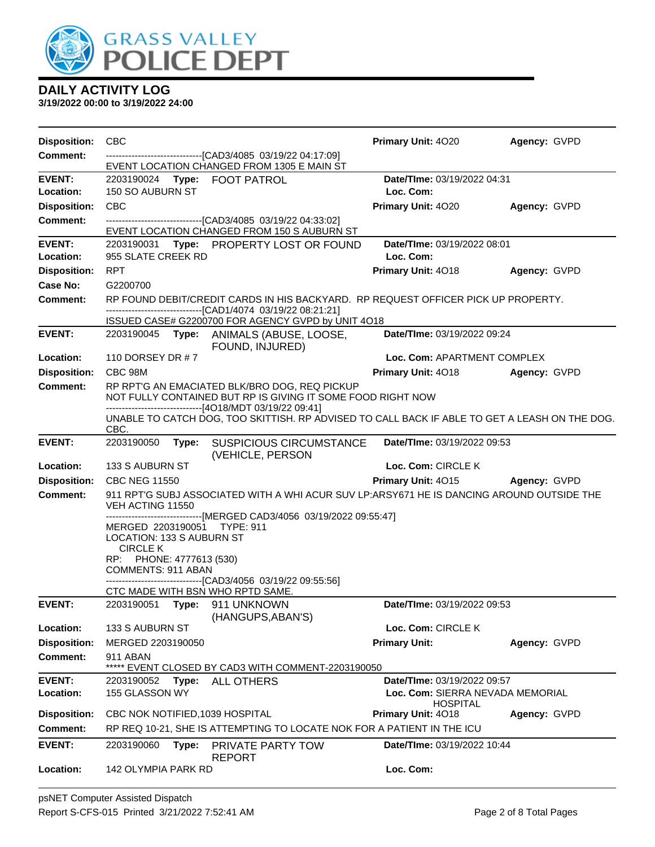

| <b>Disposition:</b> | <b>CBC</b>                                                                                                                                                 | <b>Primary Unit: 4020</b>                           | Agency: GVPD |
|---------------------|------------------------------------------------------------------------------------------------------------------------------------------------------------|-----------------------------------------------------|--------------|
| <b>Comment:</b>     | -------------------------------[CAD3/4085 03/19/22 04:17:09]<br>EVENT LOCATION CHANGED FROM 1305 E MAIN ST                                                 |                                                     |              |
| <b>EVENT:</b>       | 2203190024 Type: FOOT PATROL                                                                                                                               | Date/TIme: 03/19/2022 04:31                         |              |
| Location:           | 150 SO AUBURN ST                                                                                                                                           | Loc. Com:                                           |              |
| <b>Disposition:</b> | <b>CBC</b>                                                                                                                                                 | Primary Unit: 4020                                  | Agency: GVPD |
| <b>Comment:</b>     | -------------------------------[CAD3/4085 03/19/22 04:33:02]<br>EVENT LOCATION CHANGED FROM 150 S AUBURN ST                                                |                                                     |              |
| <b>EVENT:</b>       | 2203190031 Type: PROPERTY LOST OR FOUND                                                                                                                    | Date/TIme: 03/19/2022 08:01                         |              |
| Location:           | 955 SLATE CREEK RD                                                                                                                                         | Loc. Com:                                           |              |
| <b>Disposition:</b> | <b>RPT</b>                                                                                                                                                 | Primary Unit: 4018                                  | Agency: GVPD |
| Case No:            | G2200700                                                                                                                                                   |                                                     |              |
| <b>Comment:</b>     | RP FOUND DEBIT/CREDIT CARDS IN HIS BACKYARD. RP REQUEST OFFICER PICK UP PROPERTY.<br>-------------------------------[CAD1/4074 03/19/22 08:21:21]          |                                                     |              |
|                     | ISSUED CASE# G2200700 FOR AGENCY GVPD by UNIT 4O18                                                                                                         |                                                     |              |
| <b>EVENT:</b>       | 2203190045 Type: ANIMALS (ABUSE, LOOSE,<br>FOUND, INJURED)                                                                                                 | Date/TIme: 03/19/2022 09:24                         |              |
| Location:           | 110 DORSEY DR # 7                                                                                                                                          | Loc. Com: APARTMENT COMPLEX                         |              |
| <b>Disposition:</b> | CBC 98M                                                                                                                                                    | <b>Primary Unit: 4018</b>                           | Agency: GVPD |
| Comment:            | RP RPT'G AN EMACIATED BLK/BRO DOG, REQ PICKUP<br>NOT FULLY CONTAINED BUT RP IS GIVING IT SOME FOOD RIGHT NOW                                               |                                                     |              |
|                     | ------------------------[4O18/MDT 03/19/22 09:41]<br>UNABLE TO CATCH DOG, TOO SKITTISH. RP ADVISED TO CALL BACK IF ABLE TO GET A LEASH ON THE DOG.<br>CBC. |                                                     |              |
| <b>EVENT:</b>       | 2203190050<br>Type: SUSPICIOUS CIRCUMSTANCE<br>(VEHICLE, PERSON                                                                                            | Date/TIme: 03/19/2022 09:53                         |              |
| Location:           | 133 S AUBURN ST                                                                                                                                            | Loc. Com: CIRCLE K                                  |              |
| <b>Disposition:</b> | <b>CBC NEG 11550</b>                                                                                                                                       | Primary Unit: 4015                                  | Agency: GVPD |
| <b>Comment:</b>     | 911 RPT'G SUBJ ASSOCIATED WITH A WHI ACUR SUV LP:ARSY671 HE IS DANCING AROUND OUTSIDE THE                                                                  |                                                     |              |
|                     | VEH ACTING 11550<br>------------------------------[MERGED CAD3/4056 03/19/2022 09:55:47]                                                                   |                                                     |              |
|                     | MERGED 2203190051 TYPE: 911                                                                                                                                |                                                     |              |
|                     | LOCATION: 133 S AUBURN ST<br><b>CIRCLE K</b>                                                                                                               |                                                     |              |
|                     | RP: PHONE: 4777613 (530)                                                                                                                                   |                                                     |              |
|                     | COMMENTS: 911 ABAN                                                                                                                                         |                                                     |              |
|                     | -------------------------------[CAD3/4056 03/19/22 09:55:56]<br>CTC MADE WITH BSN WHO RPTD SAME.                                                           |                                                     |              |
| <b>EVENT:</b>       | 2203190051<br>Type: 911 UNKNOWN<br>(HANGUPS, ABAN'S)                                                                                                       | Date/TIme: 03/19/2022 09:53                         |              |
| Location:           | 133 S AUBURN ST                                                                                                                                            | Loc. Com: CIRCLE K                                  |              |
| <b>Disposition:</b> | MERGED 2203190050                                                                                                                                          | <b>Primary Unit:</b>                                | Agency: GVPD |
| <b>Comment:</b>     | 911 ABAN<br>EVENT CLOSED BY CAD3 WITH COMMENT-2203190050                                                                                                   |                                                     |              |
| <b>EVENT:</b>       | 2203190052 Type:<br>ALL OTHERS                                                                                                                             | Date/TIme: 03/19/2022 09:57                         |              |
| Location:           | 155 GLASSON WY                                                                                                                                             | Loc. Com: SIERRA NEVADA MEMORIAL<br><b>HOSPITAL</b> |              |
| <b>Disposition:</b> | CBC NOK NOTIFIED, 1039 HOSPITAL                                                                                                                            | Primary Unit: 4018                                  | Agency: GVPD |
| Comment:            | RP REQ 10-21, SHE IS ATTEMPTING TO LOCATE NOK FOR A PATIENT IN THE ICU                                                                                     |                                                     |              |
| <b>EVENT:</b>       | 2203190060<br>PRIVATE PARTY TOW<br>Type:<br><b>REPORT</b>                                                                                                  | <b>Date/Time: 03/19/2022 10:44</b>                  |              |
| Location:           | 142 OLYMPIA PARK RD                                                                                                                                        | Loc. Com:                                           |              |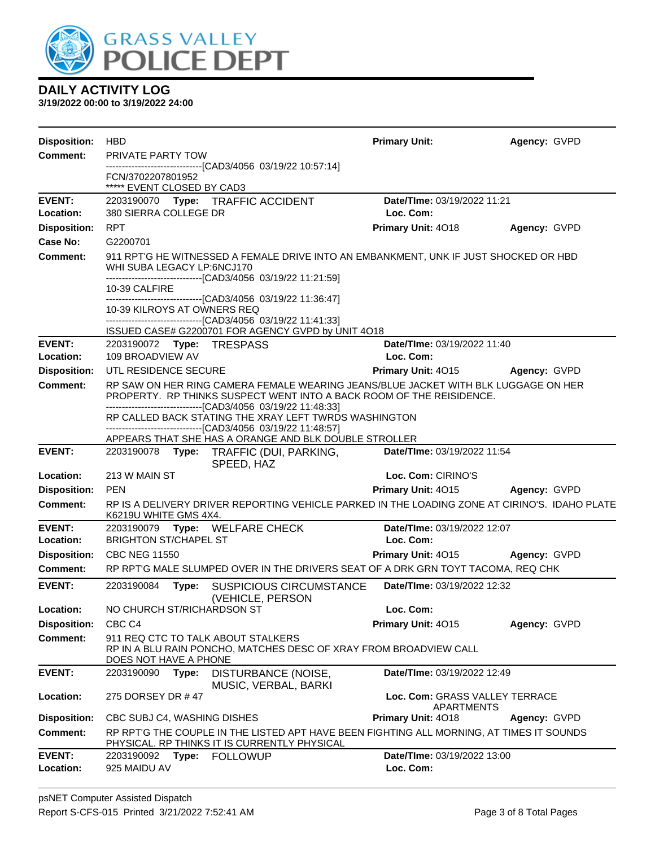

| <b>Disposition:</b>        | <b>HBD</b>                                                                                                                                                                                                                   |                                                                                                                                                                                     | <b>Primary Unit:</b>                         | Agency: GVPD |  |  |  |  |
|----------------------------|------------------------------------------------------------------------------------------------------------------------------------------------------------------------------------------------------------------------------|-------------------------------------------------------------------------------------------------------------------------------------------------------------------------------------|----------------------------------------------|--------------|--|--|--|--|
| Comment:                   | PRIVATE PARTY TOW                                                                                                                                                                                                            |                                                                                                                                                                                     |                                              |              |  |  |  |  |
|                            | FCN/3702207801952                                                                                                                                                                                                            | -------------------------------[CAD3/4056 03/19/22 10:57:14]                                                                                                                        |                                              |              |  |  |  |  |
|                            | ***** EVENT CLOSED BY CAD3                                                                                                                                                                                                   |                                                                                                                                                                                     |                                              |              |  |  |  |  |
| <b>EVENT:</b><br>Location: | 380 SIERRA COLLEGE DR                                                                                                                                                                                                        | 2203190070 Type: TRAFFIC ACCIDENT                                                                                                                                                   | Date/TIme: 03/19/2022 11:21<br>Loc. Com:     |              |  |  |  |  |
| <b>Disposition:</b>        | <b>RPT</b>                                                                                                                                                                                                                   |                                                                                                                                                                                     | Primary Unit: 4018                           | Agency: GVPD |  |  |  |  |
| <b>Case No:</b>            | G2200701                                                                                                                                                                                                                     |                                                                                                                                                                                     |                                              |              |  |  |  |  |
| Comment:                   |                                                                                                                                                                                                                              | 911 RPT'G HE WITNESSED A FEMALE DRIVE INTO AN EMBANKMENT, UNK IF JUST SHOCKED OR HBD<br>WHI SUBA LEGACY LP:6NCJ170<br>--------------------------------[CAD3/4056 03/19/22 11:21:59] |                                              |              |  |  |  |  |
|                            | 10-39 CALFIRE<br>10-39 KILROYS AT OWNERS REQ                                                                                                                                                                                 | -------------------------------[CAD3/4056_03/19/22 11:36:47]                                                                                                                        |                                              |              |  |  |  |  |
|                            |                                                                                                                                                                                                                              | --------------------------------[CAD3/4056 03/19/22 11:41:33]<br>ISSUED CASE# G2200701 FOR AGENCY GVPD by UNIT 4O18                                                                 |                                              |              |  |  |  |  |
| <b>EVENT:</b>              | 2203190072 Type: TRESPASS                                                                                                                                                                                                    |                                                                                                                                                                                     | Date/TIme: 03/19/2022 11:40                  |              |  |  |  |  |
| Location:                  | 109 BROADVIEW AV                                                                                                                                                                                                             |                                                                                                                                                                                     | Loc. Com:                                    |              |  |  |  |  |
| <b>Disposition:</b>        | UTL RESIDENCE SECURE                                                                                                                                                                                                         |                                                                                                                                                                                     | Primary Unit: 4015 Agency: GVPD              |              |  |  |  |  |
| <b>Comment:</b>            | RP SAW ON HER RING CAMERA FEMALE WEARING JEANS/BLUE JACKET WITH BLK LUGGAGE ON HER<br>PROPERTY. RP THINKS SUSPECT WENT INTO A BACK ROOM OF THE REISIDENCE.<br>---------------------------------[CAD3/4056 03/19/22 11:48:33] |                                                                                                                                                                                     |                                              |              |  |  |  |  |
|                            |                                                                                                                                                                                                                              | RP CALLED BACK STATING THE XRAY LEFT TWRDS WASHINGTON<br>-------------------------------[CAD3/4056 03/19/22 11:48:57]                                                               |                                              |              |  |  |  |  |
|                            |                                                                                                                                                                                                                              | APPEARS THAT SHE HAS A ORANGE AND BLK DOUBLE STROLLER                                                                                                                               |                                              |              |  |  |  |  |
| <b>EVENT:</b>              |                                                                                                                                                                                                                              | 2203190078 Type: TRAFFIC (DUI, PARKING,<br>SPEED, HAZ                                                                                                                               | Date/TIme: 03/19/2022 11:54                  |              |  |  |  |  |
| Location:                  | 213 W MAIN ST                                                                                                                                                                                                                |                                                                                                                                                                                     | Loc. Com: CIRINO'S                           |              |  |  |  |  |
| <b>Disposition:</b>        | <b>PEN</b>                                                                                                                                                                                                                   |                                                                                                                                                                                     | Primary Unit: 4015 Agency: GVPD              |              |  |  |  |  |
| Comment:                   | K6219U WHITE GMS 4X4.                                                                                                                                                                                                        | RP IS A DELIVERY DRIVER REPORTING VEHICLE PARKED IN THE LOADING ZONE AT CIRINO'S. IDAHO PLATE                                                                                       |                                              |              |  |  |  |  |
| <b>EVENT:</b><br>Location: | <b>BRIGHTON ST/CHAPEL ST</b>                                                                                                                                                                                                 | 2203190079 Type: WELFARE CHECK                                                                                                                                                      | Date/TIme: 03/19/2022 12:07<br>Loc. Com:     |              |  |  |  |  |
| <b>Disposition:</b>        | <b>CBC NEG 11550</b>                                                                                                                                                                                                         |                                                                                                                                                                                     | <b>Primary Unit: 4015 Agency: GVPD</b>       |              |  |  |  |  |
| <b>Comment:</b>            |                                                                                                                                                                                                                              | RP RPT'G MALE SLUMPED OVER IN THE DRIVERS SEAT OF A DRK GRN TOYT TACOMA, REQ CHK                                                                                                    |                                              |              |  |  |  |  |
| <b>EVENT:</b>              | 2203190084<br>Type:                                                                                                                                                                                                          | SUSPICIOUS CIRCUMSTANCE<br>(VEHICLE, PERSON                                                                                                                                         | Date/TIme: 03/19/2022 12:32                  |              |  |  |  |  |
| Location:                  | NO CHURCH ST/RICHARDSON ST                                                                                                                                                                                                   |                                                                                                                                                                                     | Loc. Com:                                    |              |  |  |  |  |
| <b>Disposition:</b>        | CBC <sub>C4</sub>                                                                                                                                                                                                            |                                                                                                                                                                                     | Primary Unit: 4015                           | Agency: GVPD |  |  |  |  |
| <b>Comment:</b>            | 911 REQ CTC TO TALK ABOUT STALKERS<br>DOES NOT HAVE A PHONE                                                                                                                                                                  | RP IN A BLU RAIN PONCHO, MATCHES DESC OF XRAY FROM BROADVIEW CALL                                                                                                                   |                                              |              |  |  |  |  |
| <b>EVENT:</b>              | 2203190090<br>Type:                                                                                                                                                                                                          | DISTURBANCE (NOISE,<br>MUSIC, VERBAL, BARKI                                                                                                                                         | Date/TIme: 03/19/2022 12:49                  |              |  |  |  |  |
| Location:                  | 275 DORSEY DR #47                                                                                                                                                                                                            |                                                                                                                                                                                     | Loc. Com: GRASS VALLEY TERRACE<br>APARTMENTS |              |  |  |  |  |
| <b>Disposition:</b>        | CBC SUBJ C4, WASHING DISHES                                                                                                                                                                                                  |                                                                                                                                                                                     | Primary Unit: 4018                           | Agency: GVPD |  |  |  |  |
| <b>Comment:</b>            |                                                                                                                                                                                                                              | RP RPT'G THE COUPLE IN THE LISTED APT HAVE BEEN FIGHTING ALL MORNING, AT TIMES IT SOUNDS<br>PHYSICAL. RP THINKS IT IS CURRENTLY PHYSICAL                                            |                                              |              |  |  |  |  |
| <b>EVENT:</b><br>Location: | 2203190092<br>Type:<br>925 MAIDU AV                                                                                                                                                                                          | <b>FOLLOWUP</b>                                                                                                                                                                     | Date/TIme: 03/19/2022 13:00<br>Loc. Com:     |              |  |  |  |  |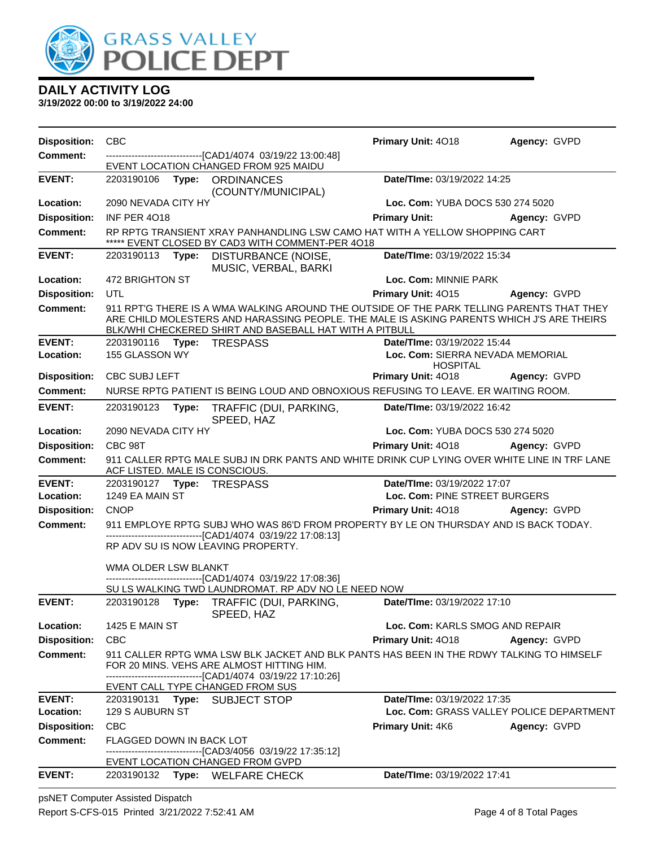

**3/19/2022 00:00 to 3/19/2022 24:00**

| <b>Comment:</b><br>-------------------------------[CAD1/4074 03/19/22 13:00:48]<br>EVENT LOCATION CHANGED FROM 925 MAIDU<br>Date/TIme: 03/19/2022 14:25<br><b>EVENT:</b><br>2203190106 Type: ORDINANCES<br>(COUNTY/MUNICIPAL)<br>2090 NEVADA CITY HY<br>Location:<br>Loc. Com: YUBA DOCS 530 274 5020<br><b>Disposition:</b><br><b>INF PER 4018</b><br><b>Primary Unit:</b><br>Agency: GVPD<br>RP RPTG TRANSIENT XRAY PANHANDLING LSW CAMO HAT WITH A YELLOW SHOPPING CART<br><b>Comment:</b><br>***** EVENT CLOSED BY CAD3 WITH COMMENT-PER 4018<br><b>EVENT:</b><br>DISTURBANCE (NOISE,<br>Date/TIme: 03/19/2022 15:34<br>2203190113 Type:<br>MUSIC, VERBAL, BARKI<br>472 BRIGHTON ST<br>Location:<br>Loc. Com: MINNIE PARK<br><b>Disposition:</b><br>UTL<br>Primary Unit: 4015<br>Agency: GVPD<br>911 RPT'G THERE IS A WMA WALKING AROUND THE OUTSIDE OF THE PARK TELLING PARENTS THAT THEY<br><b>Comment:</b><br>ARE CHILD MOLESTERS AND HARASSING PEOPLE. THE MALE IS ASKING PARENTS WHICH J'S ARE THEIRS<br>BLK/WHI CHECKERED SHIRT AND BASEBALL HAT WITH A PITBULL<br><b>EVENT:</b><br>Date/TIme: 03/19/2022 15:44<br>2203190116 Type: TRESPASS<br>155 GLASSON WY<br>Location:<br>Loc. Com: SIERRA NEVADA MEMORIAL<br><b>HOSPITAL</b><br><b>Disposition:</b><br><b>CBC SUBJ LEFT</b><br><b>Primary Unit: 4018</b><br><b>Agency: GVPD</b><br>NURSE RPTG PATIENT IS BEING LOUD AND OBNOXIOUS REFUSING TO LEAVE. ER WAITING ROOM.<br><b>Comment:</b><br><b>EVENT:</b><br>Date/TIme: 03/19/2022 16:42<br>2203190123 Type:<br>TRAFFIC (DUI, PARKING,<br>SPEED, HAZ<br>Loc. Com: YUBA DOCS 530 274 5020<br>Location:<br>2090 NEVADA CITY HY<br><b>Disposition:</b><br>CBC 98T<br>Primary Unit: 4018<br><b>Agency: GVPD</b><br>911 CALLER RPTG MALE SUBJ IN DRK PANTS AND WHITE DRINK CUP LYING OVER WHITE LINE IN TRF LANE<br><b>Comment:</b><br>ACF LISTED. MALE IS CONSCIOUS.<br>Date/TIme: 03/19/2022 17:07<br><b>EVENT:</b><br>1249 EA MAIN ST<br>Loc. Com: PINE STREET BURGERS<br>Location:<br><b>Disposition:</b><br><b>CNOP</b><br>Primary Unit: 4018<br><b>Agency: GVPD</b><br>911 EMPLOYE RPTG SUBJ WHO WAS 86'D FROM PROPERTY BY LE ON THURSDAY AND IS BACK TODAY.<br><b>Comment:</b><br>-------------------------------[CAD1/4074 03/19/22 17:08:13]<br>RP ADV SU IS NOW LEAVING PROPERTY.<br>WMA OLDER LSW BLANKT<br>--------------------------------[CAD1/4074_03/19/22 17:08:36]<br>SU LS WALKING TWD LAUNDROMAT. RP ADV NO LE NEED NOW<br><b>EVENT:</b><br>Date/TIme: 03/19/2022 17:10<br>2203190128<br>Type: TRAFFIC (DUI, PARKING,<br>SPEED, HAZ<br>Location:<br><b>1425 E MAIN ST</b><br>Loc. Com: KARLS SMOG AND REPAIR<br><b>Disposition:</b><br><b>CBC</b><br><b>Primary Unit: 4018</b><br>Agency: GVPD<br><b>Comment:</b><br>911 CALLER RPTG WMA LSW BLK JACKET AND BLK PANTS HAS BEEN IN THE RDWY TALKING TO HIMSELF<br>FOR 20 MINS. VEHS ARE ALMOST HITTING HIM.<br>------------------------------[CAD1/4074 03/19/22 17:10:26]<br>EVENT CALL TYPE CHANGED FROM SUS<br>Date/TIme: 03/19/2022 17:35<br><b>EVENT:</b><br>2203190131 Type: SUBJECT STOP<br>Loc. Com: GRASS VALLEY POLICE DEPARTMENT<br>Location:<br>129 S AUBURN ST<br><b>Disposition:</b><br><b>CBC</b><br><b>Primary Unit: 4K6</b><br>Agency: GVPD<br><b>Comment:</b><br><b>FLAGGED DOWN IN BACK LOT</b><br>-------------------------[CAD3/4056_03/19/22 17:35:12]<br>EVENT LOCATION CHANGED FROM GVPD<br>Date/TIme: 03/19/2022 17:41<br><b>EVENT:</b><br>2203190132<br>Type: WELFARE CHECK | <b>Disposition:</b> | <b>CBC</b> |  | Primary Unit: 4018 | Agency: GVPD |  |
|-------------------------------------------------------------------------------------------------------------------------------------------------------------------------------------------------------------------------------------------------------------------------------------------------------------------------------------------------------------------------------------------------------------------------------------------------------------------------------------------------------------------------------------------------------------------------------------------------------------------------------------------------------------------------------------------------------------------------------------------------------------------------------------------------------------------------------------------------------------------------------------------------------------------------------------------------------------------------------------------------------------------------------------------------------------------------------------------------------------------------------------------------------------------------------------------------------------------------------------------------------------------------------------------------------------------------------------------------------------------------------------------------------------------------------------------------------------------------------------------------------------------------------------------------------------------------------------------------------------------------------------------------------------------------------------------------------------------------------------------------------------------------------------------------------------------------------------------------------------------------------------------------------------------------------------------------------------------------------------------------------------------------------------------------------------------------------------------------------------------------------------------------------------------------------------------------------------------------------------------------------------------------------------------------------------------------------------------------------------------------------------------------------------------------------------------------------------------------------------------------------------------------------------------------------------------------------------------------------------------------------------------------------------------------------------------------------------------------------------------------------------------------------------------------------------------------------------------------------------------------------------------------------------------------------------------------------------------------------------------------------------------------------------------------------------------------------------------------------------------------------------------------------------------------------------------------------------------------------------------------------------------------------------------------------------------------------------------------------------------------------------------------------------------------------------------------------------------------------------|---------------------|------------|--|--------------------|--------------|--|
|                                                                                                                                                                                                                                                                                                                                                                                                                                                                                                                                                                                                                                                                                                                                                                                                                                                                                                                                                                                                                                                                                                                                                                                                                                                                                                                                                                                                                                                                                                                                                                                                                                                                                                                                                                                                                                                                                                                                                                                                                                                                                                                                                                                                                                                                                                                                                                                                                                                                                                                                                                                                                                                                                                                                                                                                                                                                                                                                                                                                                                                                                                                                                                                                                                                                                                                                                                                                                                                                                     |                     |            |  |                    |              |  |
|                                                                                                                                                                                                                                                                                                                                                                                                                                                                                                                                                                                                                                                                                                                                                                                                                                                                                                                                                                                                                                                                                                                                                                                                                                                                                                                                                                                                                                                                                                                                                                                                                                                                                                                                                                                                                                                                                                                                                                                                                                                                                                                                                                                                                                                                                                                                                                                                                                                                                                                                                                                                                                                                                                                                                                                                                                                                                                                                                                                                                                                                                                                                                                                                                                                                                                                                                                                                                                                                                     |                     |            |  |                    |              |  |
|                                                                                                                                                                                                                                                                                                                                                                                                                                                                                                                                                                                                                                                                                                                                                                                                                                                                                                                                                                                                                                                                                                                                                                                                                                                                                                                                                                                                                                                                                                                                                                                                                                                                                                                                                                                                                                                                                                                                                                                                                                                                                                                                                                                                                                                                                                                                                                                                                                                                                                                                                                                                                                                                                                                                                                                                                                                                                                                                                                                                                                                                                                                                                                                                                                                                                                                                                                                                                                                                                     |                     |            |  |                    |              |  |
|                                                                                                                                                                                                                                                                                                                                                                                                                                                                                                                                                                                                                                                                                                                                                                                                                                                                                                                                                                                                                                                                                                                                                                                                                                                                                                                                                                                                                                                                                                                                                                                                                                                                                                                                                                                                                                                                                                                                                                                                                                                                                                                                                                                                                                                                                                                                                                                                                                                                                                                                                                                                                                                                                                                                                                                                                                                                                                                                                                                                                                                                                                                                                                                                                                                                                                                                                                                                                                                                                     |                     |            |  |                    |              |  |
|                                                                                                                                                                                                                                                                                                                                                                                                                                                                                                                                                                                                                                                                                                                                                                                                                                                                                                                                                                                                                                                                                                                                                                                                                                                                                                                                                                                                                                                                                                                                                                                                                                                                                                                                                                                                                                                                                                                                                                                                                                                                                                                                                                                                                                                                                                                                                                                                                                                                                                                                                                                                                                                                                                                                                                                                                                                                                                                                                                                                                                                                                                                                                                                                                                                                                                                                                                                                                                                                                     |                     |            |  |                    |              |  |
|                                                                                                                                                                                                                                                                                                                                                                                                                                                                                                                                                                                                                                                                                                                                                                                                                                                                                                                                                                                                                                                                                                                                                                                                                                                                                                                                                                                                                                                                                                                                                                                                                                                                                                                                                                                                                                                                                                                                                                                                                                                                                                                                                                                                                                                                                                                                                                                                                                                                                                                                                                                                                                                                                                                                                                                                                                                                                                                                                                                                                                                                                                                                                                                                                                                                                                                                                                                                                                                                                     |                     |            |  |                    |              |  |
|                                                                                                                                                                                                                                                                                                                                                                                                                                                                                                                                                                                                                                                                                                                                                                                                                                                                                                                                                                                                                                                                                                                                                                                                                                                                                                                                                                                                                                                                                                                                                                                                                                                                                                                                                                                                                                                                                                                                                                                                                                                                                                                                                                                                                                                                                                                                                                                                                                                                                                                                                                                                                                                                                                                                                                                                                                                                                                                                                                                                                                                                                                                                                                                                                                                                                                                                                                                                                                                                                     |                     |            |  |                    |              |  |
|                                                                                                                                                                                                                                                                                                                                                                                                                                                                                                                                                                                                                                                                                                                                                                                                                                                                                                                                                                                                                                                                                                                                                                                                                                                                                                                                                                                                                                                                                                                                                                                                                                                                                                                                                                                                                                                                                                                                                                                                                                                                                                                                                                                                                                                                                                                                                                                                                                                                                                                                                                                                                                                                                                                                                                                                                                                                                                                                                                                                                                                                                                                                                                                                                                                                                                                                                                                                                                                                                     |                     |            |  |                    |              |  |
|                                                                                                                                                                                                                                                                                                                                                                                                                                                                                                                                                                                                                                                                                                                                                                                                                                                                                                                                                                                                                                                                                                                                                                                                                                                                                                                                                                                                                                                                                                                                                                                                                                                                                                                                                                                                                                                                                                                                                                                                                                                                                                                                                                                                                                                                                                                                                                                                                                                                                                                                                                                                                                                                                                                                                                                                                                                                                                                                                                                                                                                                                                                                                                                                                                                                                                                                                                                                                                                                                     |                     |            |  |                    |              |  |
|                                                                                                                                                                                                                                                                                                                                                                                                                                                                                                                                                                                                                                                                                                                                                                                                                                                                                                                                                                                                                                                                                                                                                                                                                                                                                                                                                                                                                                                                                                                                                                                                                                                                                                                                                                                                                                                                                                                                                                                                                                                                                                                                                                                                                                                                                                                                                                                                                                                                                                                                                                                                                                                                                                                                                                                                                                                                                                                                                                                                                                                                                                                                                                                                                                                                                                                                                                                                                                                                                     |                     |            |  |                    |              |  |
|                                                                                                                                                                                                                                                                                                                                                                                                                                                                                                                                                                                                                                                                                                                                                                                                                                                                                                                                                                                                                                                                                                                                                                                                                                                                                                                                                                                                                                                                                                                                                                                                                                                                                                                                                                                                                                                                                                                                                                                                                                                                                                                                                                                                                                                                                                                                                                                                                                                                                                                                                                                                                                                                                                                                                                                                                                                                                                                                                                                                                                                                                                                                                                                                                                                                                                                                                                                                                                                                                     |                     |            |  |                    |              |  |
|                                                                                                                                                                                                                                                                                                                                                                                                                                                                                                                                                                                                                                                                                                                                                                                                                                                                                                                                                                                                                                                                                                                                                                                                                                                                                                                                                                                                                                                                                                                                                                                                                                                                                                                                                                                                                                                                                                                                                                                                                                                                                                                                                                                                                                                                                                                                                                                                                                                                                                                                                                                                                                                                                                                                                                                                                                                                                                                                                                                                                                                                                                                                                                                                                                                                                                                                                                                                                                                                                     |                     |            |  |                    |              |  |
|                                                                                                                                                                                                                                                                                                                                                                                                                                                                                                                                                                                                                                                                                                                                                                                                                                                                                                                                                                                                                                                                                                                                                                                                                                                                                                                                                                                                                                                                                                                                                                                                                                                                                                                                                                                                                                                                                                                                                                                                                                                                                                                                                                                                                                                                                                                                                                                                                                                                                                                                                                                                                                                                                                                                                                                                                                                                                                                                                                                                                                                                                                                                                                                                                                                                                                                                                                                                                                                                                     |                     |            |  |                    |              |  |
|                                                                                                                                                                                                                                                                                                                                                                                                                                                                                                                                                                                                                                                                                                                                                                                                                                                                                                                                                                                                                                                                                                                                                                                                                                                                                                                                                                                                                                                                                                                                                                                                                                                                                                                                                                                                                                                                                                                                                                                                                                                                                                                                                                                                                                                                                                                                                                                                                                                                                                                                                                                                                                                                                                                                                                                                                                                                                                                                                                                                                                                                                                                                                                                                                                                                                                                                                                                                                                                                                     |                     |            |  |                    |              |  |
|                                                                                                                                                                                                                                                                                                                                                                                                                                                                                                                                                                                                                                                                                                                                                                                                                                                                                                                                                                                                                                                                                                                                                                                                                                                                                                                                                                                                                                                                                                                                                                                                                                                                                                                                                                                                                                                                                                                                                                                                                                                                                                                                                                                                                                                                                                                                                                                                                                                                                                                                                                                                                                                                                                                                                                                                                                                                                                                                                                                                                                                                                                                                                                                                                                                                                                                                                                                                                                                                                     |                     |            |  |                    |              |  |
|                                                                                                                                                                                                                                                                                                                                                                                                                                                                                                                                                                                                                                                                                                                                                                                                                                                                                                                                                                                                                                                                                                                                                                                                                                                                                                                                                                                                                                                                                                                                                                                                                                                                                                                                                                                                                                                                                                                                                                                                                                                                                                                                                                                                                                                                                                                                                                                                                                                                                                                                                                                                                                                                                                                                                                                                                                                                                                                                                                                                                                                                                                                                                                                                                                                                                                                                                                                                                                                                                     |                     |            |  |                    |              |  |
|                                                                                                                                                                                                                                                                                                                                                                                                                                                                                                                                                                                                                                                                                                                                                                                                                                                                                                                                                                                                                                                                                                                                                                                                                                                                                                                                                                                                                                                                                                                                                                                                                                                                                                                                                                                                                                                                                                                                                                                                                                                                                                                                                                                                                                                                                                                                                                                                                                                                                                                                                                                                                                                                                                                                                                                                                                                                                                                                                                                                                                                                                                                                                                                                                                                                                                                                                                                                                                                                                     |                     |            |  |                    |              |  |
|                                                                                                                                                                                                                                                                                                                                                                                                                                                                                                                                                                                                                                                                                                                                                                                                                                                                                                                                                                                                                                                                                                                                                                                                                                                                                                                                                                                                                                                                                                                                                                                                                                                                                                                                                                                                                                                                                                                                                                                                                                                                                                                                                                                                                                                                                                                                                                                                                                                                                                                                                                                                                                                                                                                                                                                                                                                                                                                                                                                                                                                                                                                                                                                                                                                                                                                                                                                                                                                                                     |                     |            |  |                    |              |  |
|                                                                                                                                                                                                                                                                                                                                                                                                                                                                                                                                                                                                                                                                                                                                                                                                                                                                                                                                                                                                                                                                                                                                                                                                                                                                                                                                                                                                                                                                                                                                                                                                                                                                                                                                                                                                                                                                                                                                                                                                                                                                                                                                                                                                                                                                                                                                                                                                                                                                                                                                                                                                                                                                                                                                                                                                                                                                                                                                                                                                                                                                                                                                                                                                                                                                                                                                                                                                                                                                                     |                     |            |  |                    |              |  |
|                                                                                                                                                                                                                                                                                                                                                                                                                                                                                                                                                                                                                                                                                                                                                                                                                                                                                                                                                                                                                                                                                                                                                                                                                                                                                                                                                                                                                                                                                                                                                                                                                                                                                                                                                                                                                                                                                                                                                                                                                                                                                                                                                                                                                                                                                                                                                                                                                                                                                                                                                                                                                                                                                                                                                                                                                                                                                                                                                                                                                                                                                                                                                                                                                                                                                                                                                                                                                                                                                     |                     |            |  |                    |              |  |
|                                                                                                                                                                                                                                                                                                                                                                                                                                                                                                                                                                                                                                                                                                                                                                                                                                                                                                                                                                                                                                                                                                                                                                                                                                                                                                                                                                                                                                                                                                                                                                                                                                                                                                                                                                                                                                                                                                                                                                                                                                                                                                                                                                                                                                                                                                                                                                                                                                                                                                                                                                                                                                                                                                                                                                                                                                                                                                                                                                                                                                                                                                                                                                                                                                                                                                                                                                                                                                                                                     |                     |            |  |                    |              |  |
|                                                                                                                                                                                                                                                                                                                                                                                                                                                                                                                                                                                                                                                                                                                                                                                                                                                                                                                                                                                                                                                                                                                                                                                                                                                                                                                                                                                                                                                                                                                                                                                                                                                                                                                                                                                                                                                                                                                                                                                                                                                                                                                                                                                                                                                                                                                                                                                                                                                                                                                                                                                                                                                                                                                                                                                                                                                                                                                                                                                                                                                                                                                                                                                                                                                                                                                                                                                                                                                                                     |                     |            |  |                    |              |  |
|                                                                                                                                                                                                                                                                                                                                                                                                                                                                                                                                                                                                                                                                                                                                                                                                                                                                                                                                                                                                                                                                                                                                                                                                                                                                                                                                                                                                                                                                                                                                                                                                                                                                                                                                                                                                                                                                                                                                                                                                                                                                                                                                                                                                                                                                                                                                                                                                                                                                                                                                                                                                                                                                                                                                                                                                                                                                                                                                                                                                                                                                                                                                                                                                                                                                                                                                                                                                                                                                                     |                     |            |  |                    |              |  |
|                                                                                                                                                                                                                                                                                                                                                                                                                                                                                                                                                                                                                                                                                                                                                                                                                                                                                                                                                                                                                                                                                                                                                                                                                                                                                                                                                                                                                                                                                                                                                                                                                                                                                                                                                                                                                                                                                                                                                                                                                                                                                                                                                                                                                                                                                                                                                                                                                                                                                                                                                                                                                                                                                                                                                                                                                                                                                                                                                                                                                                                                                                                                                                                                                                                                                                                                                                                                                                                                                     |                     |            |  |                    |              |  |
|                                                                                                                                                                                                                                                                                                                                                                                                                                                                                                                                                                                                                                                                                                                                                                                                                                                                                                                                                                                                                                                                                                                                                                                                                                                                                                                                                                                                                                                                                                                                                                                                                                                                                                                                                                                                                                                                                                                                                                                                                                                                                                                                                                                                                                                                                                                                                                                                                                                                                                                                                                                                                                                                                                                                                                                                                                                                                                                                                                                                                                                                                                                                                                                                                                                                                                                                                                                                                                                                                     |                     |            |  |                    |              |  |
|                                                                                                                                                                                                                                                                                                                                                                                                                                                                                                                                                                                                                                                                                                                                                                                                                                                                                                                                                                                                                                                                                                                                                                                                                                                                                                                                                                                                                                                                                                                                                                                                                                                                                                                                                                                                                                                                                                                                                                                                                                                                                                                                                                                                                                                                                                                                                                                                                                                                                                                                                                                                                                                                                                                                                                                                                                                                                                                                                                                                                                                                                                                                                                                                                                                                                                                                                                                                                                                                                     |                     |            |  |                    |              |  |
|                                                                                                                                                                                                                                                                                                                                                                                                                                                                                                                                                                                                                                                                                                                                                                                                                                                                                                                                                                                                                                                                                                                                                                                                                                                                                                                                                                                                                                                                                                                                                                                                                                                                                                                                                                                                                                                                                                                                                                                                                                                                                                                                                                                                                                                                                                                                                                                                                                                                                                                                                                                                                                                                                                                                                                                                                                                                                                                                                                                                                                                                                                                                                                                                                                                                                                                                                                                                                                                                                     |                     |            |  |                    |              |  |
|                                                                                                                                                                                                                                                                                                                                                                                                                                                                                                                                                                                                                                                                                                                                                                                                                                                                                                                                                                                                                                                                                                                                                                                                                                                                                                                                                                                                                                                                                                                                                                                                                                                                                                                                                                                                                                                                                                                                                                                                                                                                                                                                                                                                                                                                                                                                                                                                                                                                                                                                                                                                                                                                                                                                                                                                                                                                                                                                                                                                                                                                                                                                                                                                                                                                                                                                                                                                                                                                                     |                     |            |  |                    |              |  |
|                                                                                                                                                                                                                                                                                                                                                                                                                                                                                                                                                                                                                                                                                                                                                                                                                                                                                                                                                                                                                                                                                                                                                                                                                                                                                                                                                                                                                                                                                                                                                                                                                                                                                                                                                                                                                                                                                                                                                                                                                                                                                                                                                                                                                                                                                                                                                                                                                                                                                                                                                                                                                                                                                                                                                                                                                                                                                                                                                                                                                                                                                                                                                                                                                                                                                                                                                                                                                                                                                     |                     |            |  |                    |              |  |
|                                                                                                                                                                                                                                                                                                                                                                                                                                                                                                                                                                                                                                                                                                                                                                                                                                                                                                                                                                                                                                                                                                                                                                                                                                                                                                                                                                                                                                                                                                                                                                                                                                                                                                                                                                                                                                                                                                                                                                                                                                                                                                                                                                                                                                                                                                                                                                                                                                                                                                                                                                                                                                                                                                                                                                                                                                                                                                                                                                                                                                                                                                                                                                                                                                                                                                                                                                                                                                                                                     |                     |            |  |                    |              |  |
|                                                                                                                                                                                                                                                                                                                                                                                                                                                                                                                                                                                                                                                                                                                                                                                                                                                                                                                                                                                                                                                                                                                                                                                                                                                                                                                                                                                                                                                                                                                                                                                                                                                                                                                                                                                                                                                                                                                                                                                                                                                                                                                                                                                                                                                                                                                                                                                                                                                                                                                                                                                                                                                                                                                                                                                                                                                                                                                                                                                                                                                                                                                                                                                                                                                                                                                                                                                                                                                                                     |                     |            |  |                    |              |  |
|                                                                                                                                                                                                                                                                                                                                                                                                                                                                                                                                                                                                                                                                                                                                                                                                                                                                                                                                                                                                                                                                                                                                                                                                                                                                                                                                                                                                                                                                                                                                                                                                                                                                                                                                                                                                                                                                                                                                                                                                                                                                                                                                                                                                                                                                                                                                                                                                                                                                                                                                                                                                                                                                                                                                                                                                                                                                                                                                                                                                                                                                                                                                                                                                                                                                                                                                                                                                                                                                                     |                     |            |  |                    |              |  |
|                                                                                                                                                                                                                                                                                                                                                                                                                                                                                                                                                                                                                                                                                                                                                                                                                                                                                                                                                                                                                                                                                                                                                                                                                                                                                                                                                                                                                                                                                                                                                                                                                                                                                                                                                                                                                                                                                                                                                                                                                                                                                                                                                                                                                                                                                                                                                                                                                                                                                                                                                                                                                                                                                                                                                                                                                                                                                                                                                                                                                                                                                                                                                                                                                                                                                                                                                                                                                                                                                     |                     |            |  |                    |              |  |
|                                                                                                                                                                                                                                                                                                                                                                                                                                                                                                                                                                                                                                                                                                                                                                                                                                                                                                                                                                                                                                                                                                                                                                                                                                                                                                                                                                                                                                                                                                                                                                                                                                                                                                                                                                                                                                                                                                                                                                                                                                                                                                                                                                                                                                                                                                                                                                                                                                                                                                                                                                                                                                                                                                                                                                                                                                                                                                                                                                                                                                                                                                                                                                                                                                                                                                                                                                                                                                                                                     |                     |            |  |                    |              |  |
|                                                                                                                                                                                                                                                                                                                                                                                                                                                                                                                                                                                                                                                                                                                                                                                                                                                                                                                                                                                                                                                                                                                                                                                                                                                                                                                                                                                                                                                                                                                                                                                                                                                                                                                                                                                                                                                                                                                                                                                                                                                                                                                                                                                                                                                                                                                                                                                                                                                                                                                                                                                                                                                                                                                                                                                                                                                                                                                                                                                                                                                                                                                                                                                                                                                                                                                                                                                                                                                                                     |                     |            |  |                    |              |  |

psNET Computer Assisted Dispatch Report S-CFS-015 Printed 3/21/2022 7:52:41 AM Page 4 of 8 Total Pages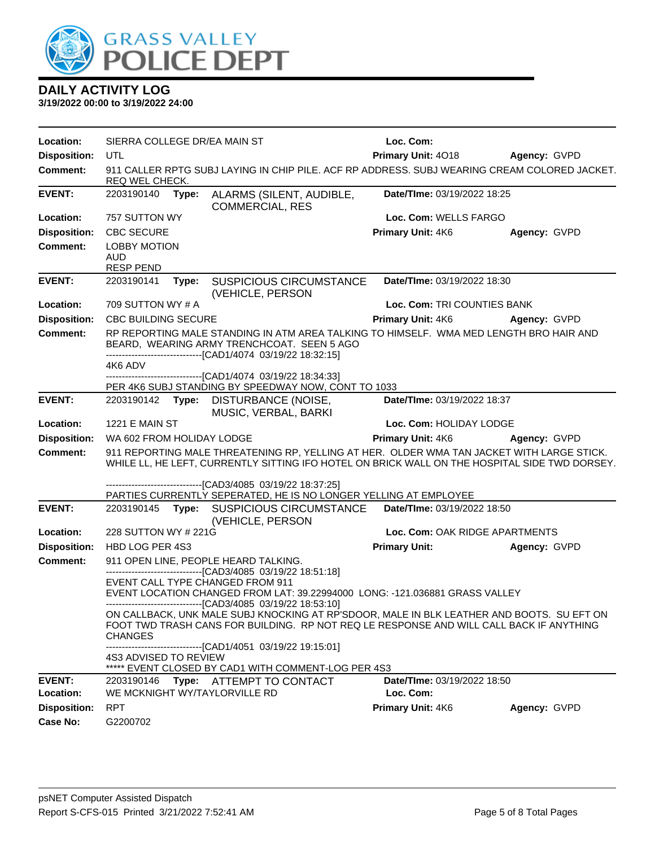

| Location:                              | SIERRA COLLEGE DR/EA MAIN ST                                                                                   |       |                                                                                                                                                                                                                                                      | Loc. Com:                       |              |
|----------------------------------------|----------------------------------------------------------------------------------------------------------------|-------|------------------------------------------------------------------------------------------------------------------------------------------------------------------------------------------------------------------------------------------------------|---------------------------------|--------------|
| <b>Disposition:</b>                    | UTL                                                                                                            |       |                                                                                                                                                                                                                                                      | Primary Unit: 4018 Agency: GVPD |              |
| <b>Comment:</b>                        | 911 CALLER RPTG SUBJ LAYING IN CHIP PILE. ACF RP ADDRESS. SUBJ WEARING CREAM COLORED JACKET.<br>REQ WEL CHECK. |       |                                                                                                                                                                                                                                                      |                                 |              |
| <b>EVENT:</b>                          | 2203190140                                                                                                     | Type: | ALARMS (SILENT, AUDIBLE,<br><b>COMMERCIAL, RES</b>                                                                                                                                                                                                   | Date/TIme: 03/19/2022 18:25     |              |
| Location:                              | 757 SUTTON WY                                                                                                  |       |                                                                                                                                                                                                                                                      | Loc. Com: WELLS FARGO           |              |
| <b>Disposition:</b>                    | <b>CBC SECURE</b>                                                                                              |       |                                                                                                                                                                                                                                                      | Primary Unit: 4K6               | Agency: GVPD |
| <b>Comment:</b>                        | <b>LOBBY MOTION</b>                                                                                            |       |                                                                                                                                                                                                                                                      |                                 |              |
|                                        | <b>AUD</b><br><b>RESP PEND</b>                                                                                 |       |                                                                                                                                                                                                                                                      |                                 |              |
| <b>EVENT:</b>                          | 2203190141                                                                                                     | Type: | <b>SUSPICIOUS CIRCUMSTANCE</b>                                                                                                                                                                                                                       | Date/TIme: 03/19/2022 18:30     |              |
|                                        |                                                                                                                |       | (VEHICLE, PERSON                                                                                                                                                                                                                                     |                                 |              |
| Location:                              | 709 SUTTON WY # A                                                                                              |       |                                                                                                                                                                                                                                                      | Loc. Com: TRI COUNTIES BANK     |              |
| <b>Disposition:</b>                    | <b>CBC BUILDING SECURE</b>                                                                                     |       |                                                                                                                                                                                                                                                      | <b>Primary Unit: 4K6</b>        | Agency: GVPD |
| <b>Comment:</b>                        |                                                                                                                |       | RP REPORTING MALE STANDING IN ATM AREA TALKING TO HIMSELF. WMA MED LENGTH BRO HAIR AND<br>BEARD, WEARING ARMY TRENCHCOAT. SEEN 5 AGO<br>-------------------------------[CAD1/4074 03/19/22 18:32:15]                                                 |                                 |              |
|                                        | 4K6 ADV                                                                                                        |       |                                                                                                                                                                                                                                                      |                                 |              |
|                                        |                                                                                                                |       | ---------------------------------[CAD1/4074_03/19/22 18:34:33]                                                                                                                                                                                       |                                 |              |
|                                        |                                                                                                                |       | PER 4K6 SUBJ STANDING BY SPEEDWAY NOW, CONT TO 1033                                                                                                                                                                                                  |                                 |              |
| <b>EVENT:</b>                          |                                                                                                                |       | 2203190142 Type: DISTURBANCE (NOISE,<br>MUSIC, VERBAL, BARKI                                                                                                                                                                                         | Date/TIme: 03/19/2022 18:37     |              |
| Location:                              | 1221 E MAIN ST                                                                                                 |       |                                                                                                                                                                                                                                                      | Loc. Com: HOLIDAY LODGE         |              |
|                                        |                                                                                                                |       |                                                                                                                                                                                                                                                      |                                 |              |
| <b>Disposition:</b>                    | WA 602 FROM HOLIDAY LODGE                                                                                      |       |                                                                                                                                                                                                                                                      | <b>Primary Unit: 4K6</b>        | Agency: GVPD |
| <b>Comment:</b>                        |                                                                                                                |       | 911 REPORTING MALE THREATENING RP, YELLING AT HER. OLDER WMA TAN JACKET WITH LARGE STICK.<br>WHILE LL, HE LEFT, CURRENTLY SITTING IFO HOTEL ON BRICK WALL ON THE HOSPITAL SIDE TWD DORSEY.                                                           |                                 |              |
|                                        |                                                                                                                |       | -------------------------------[CAD3/4085 03/19/22 18:37:25]                                                                                                                                                                                         |                                 |              |
|                                        |                                                                                                                |       | PARTIES CURRENTLY SEPERATED, HE IS NO LONGER YELLING AT EMPLOYEE                                                                                                                                                                                     |                                 |              |
| <b>EVENT:</b>                          |                                                                                                                |       | 2203190145 Type: SUSPICIOUS CIRCUMSTANCE<br>(VEHICLE, PERSON                                                                                                                                                                                         | Date/TIme: 03/19/2022 18:50     |              |
| Location:                              | 228 SUTTON WY # 221G                                                                                           |       |                                                                                                                                                                                                                                                      | Loc. Com: OAK RIDGE APARTMENTS  |              |
| <b>Disposition:</b>                    | HBD LOG PER 4S3                                                                                                |       |                                                                                                                                                                                                                                                      | <b>Primary Unit:</b>            | Agency: GVPD |
| <b>Comment:</b>                        |                                                                                                                |       | 911 OPEN LINE, PEOPLE HEARD TALKING.                                                                                                                                                                                                                 |                                 |              |
|                                        |                                                                                                                |       | -------------------------------[CAD3/4085 03/19/22 18:51:18]<br>EVENT CALL TYPE CHANGED FROM 911<br>EVENT LOCATION CHANGED FROM LAT: 39.22994000 LONG: -121.036881 GRASS VALLEY                                                                      |                                 |              |
|                                        | <b>CHANGES</b>                                                                                                 |       | -------------------------------[CAD3/4085_03/19/22 18:53:10]<br>ON CALLBACK, UNK MALE SUBJ KNOCKING AT RP'SDOOR, MALE IN BLK LEATHER AND BOOTS. SU EFT ON<br>FOOT TWD TRASH CANS FOR BUILDING. RP NOT REQ LE RESPONSE AND WILL CALL BACK IF ANYTHING |                                 |              |
|                                        | 4S3 ADVISED TO REVIEW                                                                                          |       | ---------------------------------[CAD1/4051_03/19/22 19:15:01]<br>***** EVENT CLOSED BY CAD1 WITH COMMENT-LOG PER 4S3                                                                                                                                |                                 |              |
| <b>EVENT:</b>                          | 2203190146                                                                                                     |       | Type: ATTEMPT TO CONTACT                                                                                                                                                                                                                             | Date/TIme: 03/19/2022 18:50     |              |
| Location:                              |                                                                                                                |       | WE MCKNIGHT WY/TAYLORVILLE RD                                                                                                                                                                                                                        | Loc. Com:                       |              |
| <b>Disposition:</b><br><b>Case No:</b> | <b>RPT</b>                                                                                                     |       |                                                                                                                                                                                                                                                      | Primary Unit: 4K6               | Agency: GVPD |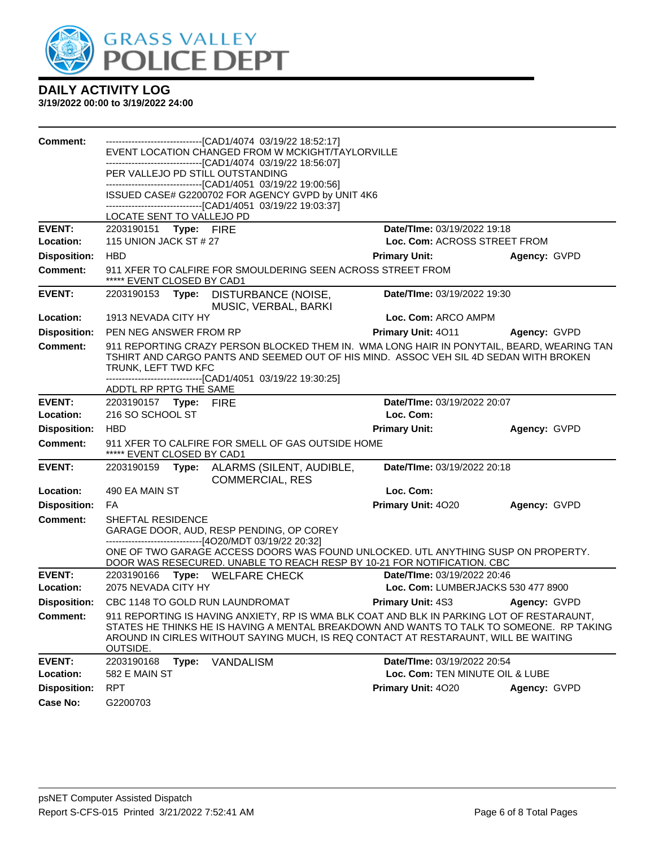

| <b>Comment:</b>                        | ------------------------------[CAD1/4074 03/19/22 18:52:17]                                                                                                                                                                                                                              |                                    |              |
|----------------------------------------|------------------------------------------------------------------------------------------------------------------------------------------------------------------------------------------------------------------------------------------------------------------------------------------|------------------------------------|--------------|
|                                        | EVENT LOCATION CHANGED FROM W MCKIGHT/TAYLORVILLE<br>-------------------------------[CAD1/4074_03/19/22 18:56:07]                                                                                                                                                                        |                                    |              |
|                                        | PER VALLEJO PD STILL OUTSTANDING                                                                                                                                                                                                                                                         |                                    |              |
|                                        | -------------------------------[CAD1/4051 03/19/22 19:00:56]<br>ISSUED CASE# G2200702 FOR AGENCY GVPD by UNIT 4K6                                                                                                                                                                        |                                    |              |
|                                        | -------------------------------[CAD1/4051 03/19/22 19:03:37]                                                                                                                                                                                                                             |                                    |              |
|                                        | LOCATE SENT TO VALLEJO PD                                                                                                                                                                                                                                                                |                                    |              |
| <b>EVENT:</b>                          | 2203190151 Type: FIRE                                                                                                                                                                                                                                                                    | Date/TIme: 03/19/2022 19:18        |              |
| Location:                              | 115 UNION JACK ST # 27                                                                                                                                                                                                                                                                   | Loc. Com: ACROSS STREET FROM       |              |
| <b>Disposition:</b>                    | <b>HBD</b>                                                                                                                                                                                                                                                                               | <b>Primary Unit:</b>               | Agency: GVPD |
| <b>Comment:</b>                        | 911 XFER TO CALFIRE FOR SMOULDERING SEEN ACROSS STREET FROM<br>***** EVENT CLOSED BY CAD1                                                                                                                                                                                                |                                    |              |
| <b>EVENT:</b>                          | 2203190153<br>Type:<br>DISTURBANCE (NOISE,<br>MUSIC, VERBAL, BARKI                                                                                                                                                                                                                       | Date/TIme: 03/19/2022 19:30        |              |
| Location:                              | 1913 NEVADA CITY HY                                                                                                                                                                                                                                                                      | Loc. Com: ARCO AMPM                |              |
| <b>Disposition:</b>                    | PEN NEG ANSWER FROM RP                                                                                                                                                                                                                                                                   | Primary Unit: 4011                 | Agency: GVPD |
| <b>Comment:</b>                        | 911 REPORTING CRAZY PERSON BLOCKED THEM IN. WMA LONG HAIR IN PONYTAIL, BEARD, WEARING TAN<br>TSHIRT AND CARGO PANTS AND SEEMED OUT OF HIS MIND. ASSOC VEH SIL 4D SEDAN WITH BROKEN<br>TRUNK, LEFT TWD KFC<br>-------------------------------[CAD1/4051_03/19/22 19:30:25]                |                                    |              |
|                                        | ADDTL RP RPTG THE SAME                                                                                                                                                                                                                                                                   |                                    |              |
| <b>EVENT:</b>                          | 2203190157    Type: FIRE                                                                                                                                                                                                                                                                 | Date/TIme: 03/19/2022 20:07        |              |
| Location:                              | 216 SO SCHOOL ST                                                                                                                                                                                                                                                                         | Loc. Com:                          |              |
|                                        | <b>HBD</b>                                                                                                                                                                                                                                                                               |                                    |              |
| <b>Disposition:</b>                    |                                                                                                                                                                                                                                                                                          | <b>Primary Unit:</b>               | Agency: GVPD |
| <b>Comment:</b>                        | 911 XFER TO CALFIRE FOR SMELL OF GAS OUTSIDE HOME<br>***** EVENT CLOSED BY CAD1                                                                                                                                                                                                          |                                    |              |
| <b>EVENT:</b>                          | 2203190159<br>Type:<br>ALARMS (SILENT, AUDIBLE,<br><b>COMMERCIAL, RES</b>                                                                                                                                                                                                                | Date/TIme: 03/19/2022 20:18        |              |
| Location:                              | 490 EA MAIN ST                                                                                                                                                                                                                                                                           | Loc. Com:                          |              |
| <b>Disposition:</b>                    | FA                                                                                                                                                                                                                                                                                       | Primary Unit: 4020                 | Agency: GVPD |
| <b>Comment:</b>                        | SHEFTAL RESIDENCE<br>GARAGE DOOR, AUD, RESP PENDING, OP COREY                                                                                                                                                                                                                            |                                    |              |
|                                        | ------------------------------[4O20/MDT 03/19/22 20:32]<br>ONE OF TWO GARAGE ACCESS DOORS WAS FOUND UNLOCKED. UTL ANYTHING SUSP ON PROPERTY.<br>DOOR WAS RESECURED. UNABLE TO REACH RESP BY 10-21 FOR NOTIFICATION. CBC                                                                  |                                    |              |
| <b>EVENT:</b>                          | 2203190166<br>Type: WELFARE CHECK                                                                                                                                                                                                                                                        | <b>Date/Time: 03/19/2022 20:46</b> |              |
| Location:                              | 2075 NEVADA CITY HY                                                                                                                                                                                                                                                                      | Loc. Com: LUMBERJACKS 530 477 8900 |              |
|                                        | Disposition: CBC 1148 TO GOLD RUN LAUNDROMAT                                                                                                                                                                                                                                             | <b>Primary Unit: 4S3</b>           | Agency: GVPD |
| <b>Comment:</b>                        | 911 REPORTING IS HAVING ANXIETY, RP IS WMA BLK COAT AND BLK IN PARKING LOT OF RESTARAUNT,<br>STATES HE THINKS HE IS HAVING A MENTAL BREAKDOWN AND WANTS TO TALK TO SOMEONE. RP TAKING<br>AROUND IN CIRLES WITHOUT SAYING MUCH, IS REQ CONTACT AT RESTARAUNT, WILL BE WAITING<br>OUTSIDE. |                                    |              |
| <b>EVENT:</b>                          | 2203190168<br>Type:<br><b>VANDALISM</b>                                                                                                                                                                                                                                                  | Date/TIme: 03/19/2022 20:54        |              |
| Location:                              | 582 E MAIN ST                                                                                                                                                                                                                                                                            | Loc. Com: TEN MINUTE OIL & LUBE    |              |
| <b>Disposition:</b><br><b>Case No:</b> | <b>RPT</b><br>G2200703                                                                                                                                                                                                                                                                   | Primary Unit: 4020                 | Agency: GVPD |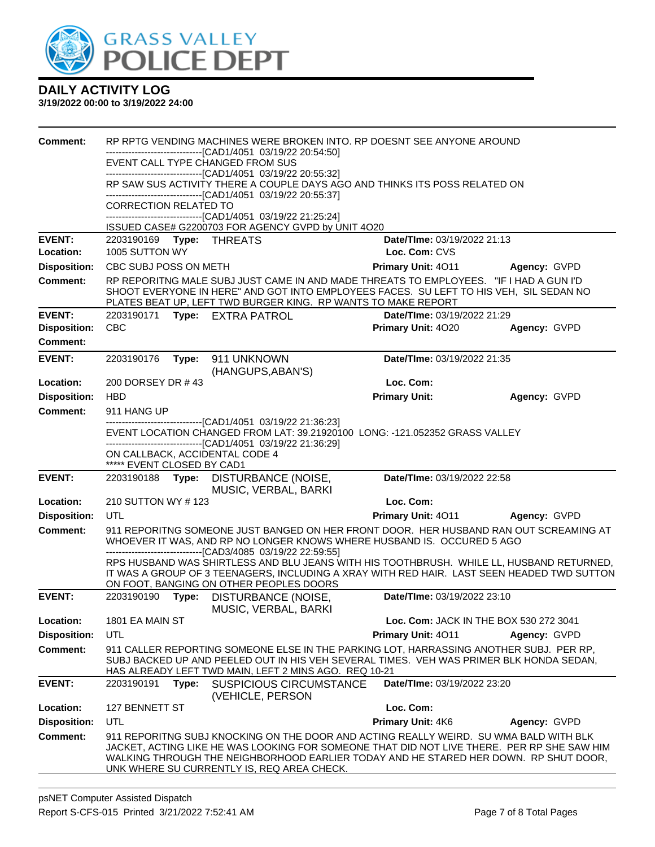

| <b>Comment:</b>                  |                              |       | RP RPTG VENDING MACHINES WERE BROKEN INTO. RP DOESNT SEE ANYONE AROUND                                                                                                                                                                                                                                                    |                                        |                                        |
|----------------------------------|------------------------------|-------|---------------------------------------------------------------------------------------------------------------------------------------------------------------------------------------------------------------------------------------------------------------------------------------------------------------------------|----------------------------------------|----------------------------------------|
|                                  |                              |       | -------------------------------[CAD1/4051 03/19/22 20:54:50]<br>EVENT CALL TYPE CHANGED FROM SUS                                                                                                                                                                                                                          |                                        |                                        |
|                                  |                              |       | -------------------------------[CAD1/4051 03/19/22 20:55:32]                                                                                                                                                                                                                                                              |                                        |                                        |
|                                  |                              |       | RP SAW SUS ACTIVITY THERE A COUPLE DAYS AGO AND THINKS ITS POSS RELATED ON<br>-------------------------------[CAD1/4051 03/19/22 20:55:37]                                                                                                                                                                                |                                        |                                        |
|                                  | <b>CORRECTION RELATED TO</b> |       |                                                                                                                                                                                                                                                                                                                           |                                        |                                        |
|                                  |                              |       | -------------------------------[CAD1/4051 03/19/22 21:25:24]<br>ISSUED CASE# G2200703 FOR AGENCY GVPD by UNIT 4O20                                                                                                                                                                                                        |                                        |                                        |
| <b>EVENT:</b>                    |                              |       |                                                                                                                                                                                                                                                                                                                           | Date/TIme: 03/19/2022 21:13            |                                        |
| Location:                        | 1005 SUTTON WY               |       |                                                                                                                                                                                                                                                                                                                           | Loc. Com: CVS                          |                                        |
| <b>Disposition:</b>              | CBC SUBJ POSS ON METH        |       |                                                                                                                                                                                                                                                                                                                           | Primary Unit: 4011                     | Agency: GVPD                           |
| <b>Comment:</b>                  |                              |       | RP REPORITNG MALE SUBJ JUST CAME IN AND MADE THREATS TO EMPLOYEES. "IF I HAD A GUN I'D<br>SHOOT EVERYONE IN HERE" AND GOT INTO EMPLOYEES FACES. SU LEFT TO HIS VEH, SIL SEDAN NO<br>PLATES BEAT UP, LEFT TWD BURGER KING. RP WANTS TO MAKE REPORT                                                                         |                                        |                                        |
| <b>EVENT:</b>                    | 2203190171                   |       | Type: EXTRA PATROL                                                                                                                                                                                                                                                                                                        | Date/TIme: 03/19/2022 21:29            |                                        |
| <b>Disposition:</b>              | <b>CBC</b>                   |       |                                                                                                                                                                                                                                                                                                                           | Primary Unit: 4020                     | Agency: GVPD                           |
| <b>Comment:</b>                  |                              |       |                                                                                                                                                                                                                                                                                                                           |                                        |                                        |
| <b>EVENT:</b>                    |                              |       | 2203190176    Type: 911    UNKNOWN<br>(HANGUPS, ABAN'S)                                                                                                                                                                                                                                                                   | Date/TIme: 03/19/2022 21:35            |                                        |
| Location:                        | 200 DORSEY DR #43            |       |                                                                                                                                                                                                                                                                                                                           | Loc. Com:                              |                                        |
| <b>Disposition:</b>              | <b>HBD</b>                   |       |                                                                                                                                                                                                                                                                                                                           | <b>Primary Unit:</b>                   | Agency: GVPD                           |
| <b>Comment:</b>                  | 911 HANG UP                  |       |                                                                                                                                                                                                                                                                                                                           |                                        |                                        |
|                                  |                              |       | --------------------------------[CAD1/4051 03/19/22 21:36:23]<br>EVENT LOCATION CHANGED FROM LAT: 39.21920100 LONG: -121.052352 GRASS VALLEY                                                                                                                                                                              |                                        |                                        |
|                                  |                              |       | -------------------------------[CAD1/4051 03/19/22 21:36:29]                                                                                                                                                                                                                                                              |                                        |                                        |
|                                  | ***** EVENT CLOSED BY CAD1   |       | ON CALLBACK, ACCIDENTAL CODE 4                                                                                                                                                                                                                                                                                            |                                        |                                        |
| <b>EVENT:</b>                    |                              |       | 2203190188 Type: DISTURBANCE (NOISE,                                                                                                                                                                                                                                                                                      | Date/TIme: 03/19/2022 22:58            |                                        |
|                                  |                              |       | MUSIC, VERBAL, BARKI                                                                                                                                                                                                                                                                                                      |                                        |                                        |
| Location:<br><b>Disposition:</b> | 210 SUTTON WY # 123<br>UTL   |       |                                                                                                                                                                                                                                                                                                                           | Loc. Com:<br><b>Primary Unit: 4011</b> | Agency: GVPD                           |
| <b>Comment:</b>                  |                              |       | 911 REPORITNG SOMEONE JUST BANGED ON HER FRONT DOOR. HER HUSBAND RAN OUT SCREAMING AT                                                                                                                                                                                                                                     |                                        |                                        |
|                                  |                              |       | WHOEVER IT WAS, AND RP NO LONGER KNOWS WHERE HUSBAND IS. OCCURED 5 AGO                                                                                                                                                                                                                                                    |                                        |                                        |
|                                  |                              |       | -------------------------------[CAD3/4085 03/19/22 22:59:55]<br>RPS HUSBAND WAS SHIRTLESS AND BLU JEANS WITH HIS TOOTHBRUSH. WHILE LL, HUSBAND RETURNED,                                                                                                                                                                  |                                        |                                        |
|                                  |                              |       | IT WAS A GROUP OF 3 TEENAGERS, INCLUDING A XRAY WITH RED HAIR. LAST SEEN HEADED TWD SUTTON                                                                                                                                                                                                                                |                                        |                                        |
|                                  |                              |       | ON FOOT, BANGING ON OTHER PEOPLES DOORS                                                                                                                                                                                                                                                                                   |                                        |                                        |
| <b>EVENT:</b>                    | 2203190190                   | Type: | DISTURBANCE (NOISE,<br>MUSIC, VERBAL, BARKI                                                                                                                                                                                                                                                                               | Date/TIme: 03/19/2022 23:10            |                                        |
| Location:                        | 1801 EA MAIN ST              |       |                                                                                                                                                                                                                                                                                                                           |                                        | Loc. Com: JACK IN THE BOX 530 272 3041 |
| <b>Disposition:</b>              | UTL                          |       |                                                                                                                                                                                                                                                                                                                           | <b>Primary Unit: 4011</b>              | Agency: GVPD                           |
| <b>Comment:</b>                  |                              |       | 911 CALLER REPORTING SOMEONE ELSE IN THE PARKING LOT, HARRASSING ANOTHER SUBJ. PER RP,<br>SUBJ BACKED UP AND PEELED OUT IN HIS VEH SEVERAL TIMES. VEH WAS PRIMER BLK HONDA SEDAN,<br>HAS ALREADY LEFT TWD MAIN, LEFT 2 MINS AGO. REQ 10-21                                                                                |                                        |                                        |
| <b>EVENT:</b>                    | 2203190191                   | Type: | <b>SUSPICIOUS CIRCUMSTANCE</b><br>(VEHICLE, PERSON                                                                                                                                                                                                                                                                        | Date/TIme: 03/19/2022 23:20            |                                        |
| Location:                        | 127 BENNETT ST               |       |                                                                                                                                                                                                                                                                                                                           | Loc. Com:                              |                                        |
| <b>Disposition:</b>              | UTL                          |       |                                                                                                                                                                                                                                                                                                                           | Primary Unit: 4K6                      | Agency: GVPD                           |
| <b>Comment:</b>                  |                              |       | 911 REPORITNG SUBJ KNOCKING ON THE DOOR AND ACTING REALLY WEIRD. SU WMA BALD WITH BLK<br>JACKET. ACTING LIKE HE WAS LOOKING FOR SOMEONE THAT DID NOT LIVE THERE. PER RP SHE SAW HIM<br>WALKING THROUGH THE NEIGHBORHOOD EARLIER TODAY AND HE STARED HER DOWN. RP SHUT DOOR,<br>UNK WHERE SU CURRENTLY IS, REQ AREA CHECK. |                                        |                                        |